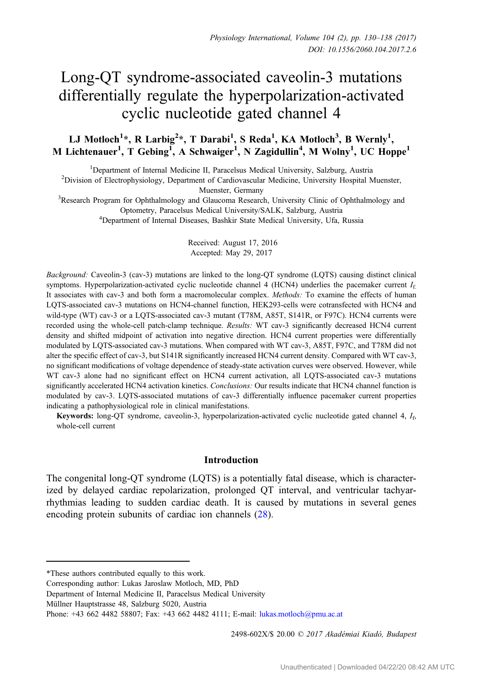# Long-QT syndrome-associated caveolin-3 mutations differentially regulate the hyperpolarization-activated cyclic nucleotide gated channel 4

# LJ Motloch<sup>1</sup>\*, R Larbig<sup>2</sup>\*, T Darabi<sup>1</sup>, S Reda<sup>1</sup>, KA Motloch<sup>3</sup>, B Wernly<sup>1</sup>, M Lichtenauer<sup>1</sup>, T Gebing<sup>1</sup>, A Schwaiger<sup>1</sup>, N Zagidullin<sup>4</sup>, M Wolny<sup>1</sup>, UC Hoppe<sup>1</sup>

<sup>1</sup> Department of Internal Medicine II, Paracelsus Medical University, Salzburg, Austria<sup>2</sup> Division of Electrophysiology, Department of Cardiovascular Medicine, University Hospital N

<sup>2</sup>Division of Electrophysiology, Department of Cardiovascular Medicine, University Hospital Muenster,

Muenster, Germany<br><sup>3</sup>Research Program for Ophthalmology and Glaucoma Research, University Clinic of Ophthalmology and<sup>3</sup> Optometry, Paracelsus Medical University/SALK, Salzburg, Austria <sup>4</sup>

Department of Internal Diseases, Bashkir State Medical University, Ufa, Russia

Received: August 17, 2016 Accepted: May 29, 2017

Background: Caveolin-3 (cav-3) mutations are linked to the long-QT syndrome (LQTS) causing distinct clinical symptoms. Hyperpolarization-activated cyclic nucleotide channel 4 (HCN4) underlies the pacemaker current  $I_f$ . It associates with cav-3 and both form a macromolecular complex. Methods: To examine the effects of human LQTS-associated cav-3 mutations on HCN4-channel function, HEK293-cells were cotransfected with HCN4 and wild-type (WT) cav-3 or a LQTS-associated cav-3 mutant (T78M, A85T, S141R, or F97C). HCN4 currents were recorded using the whole-cell patch-clamp technique. Results: WT cav-3 significantly decreased HCN4 current density and shifted midpoint of activation into negative direction. HCN4 current properties were differentially modulated by LQTS-associated cav-3 mutations. When compared with WT cav-3, A85T, F97C, and T78M did not alter the specific effect of cav-3, but S141R significantly increased HCN4 current density. Compared with WT cav-3, no significant modifications of voltage dependence of steady-state activation curves were observed. However, while WT cav-3 alone had no significant effect on HCN4 current activation, all LQTS-associated cav-3 mutations significantly accelerated HCN4 activation kinetics. Conclusions: Our results indicate that HCN4 channel function is modulated by cav-3. LQTS-associated mutations of cav-3 differentially influence pacemaker current properties indicating a pathophysiological role in clinical manifestations.

**Keywords:** long-QT syndrome, caveolin-3, hyperpolarization-activated cyclic nucleotide gated channel 4,  $I<sub>6</sub>$ whole-cell current

### Introduction

The congenital long-QT syndrome (LQTS) is a potentially fatal disease, which is characterized by delayed cardiac repolarization, prolonged QT interval, and ventricular tachyarrhythmias leading to sudden cardiac death. It is caused by mutations in several genes encoding protein subunits of cardiac ion channels ([28\)](#page-8-0).

2498-602X/\$ 20.00 © 2017 Akadémiai Kiadó, Budapest

<sup>\*</sup>These authors contributed equally to this work.

Corresponding author: Lukas Jaroslaw Motloch, MD, PhD

Department of Internal Medicine II, Paracelsus Medical University

Müllner Hauptstrasse 48, Salzburg 5020, Austria

Phone: +43 662 4482 58807; Fax: +43 662 4482 4111; E-mail: [lukas.motloch@pmu.ac.at](mailto:lukas.motloch@pmu.ac.at)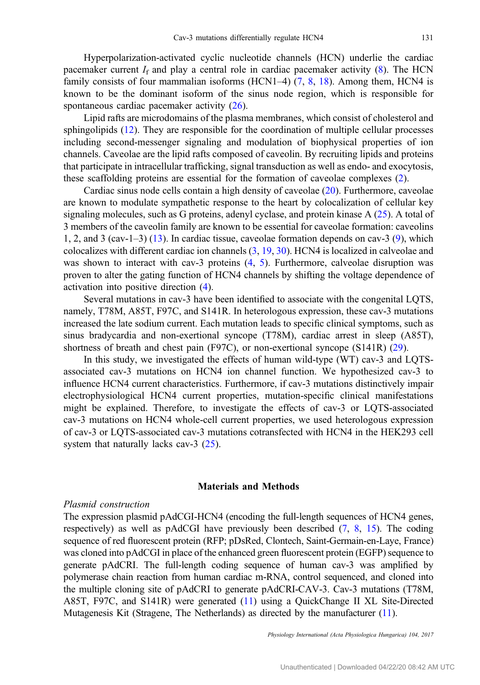Hyperpolarization-activated cyclic nucleotide channels (HCN) underlie the cardiac pacemaker current  $I_f$  and play a central role in cardiac pacemaker activity [\(8](#page-7-0)). The HCN family consists of four mammalian isoforms (HCN1–4)  $(7, 8, 18)$  $(7, 8, 18)$  $(7, 8, 18)$  $(7, 8, 18)$  $(7, 8, 18)$  $(7, 8, 18)$  $(7, 8, 18)$ . Among them, HCN4 is known to be the dominant isoform of the sinus node region, which is responsible for spontaneous cardiac pacemaker activity [\(26](#page-8-0)).

Lipid rafts are microdomains of the plasma membranes, which consist of cholesterol and sphingolipids ([12\)](#page-7-0). They are responsible for the coordination of multiple cellular processes including second-messenger signaling and modulation of biophysical properties of ion channels. Caveolae are the lipid rafts composed of caveolin. By recruiting lipids and proteins that participate in intracellular trafficking, signal transduction as well as endo- and exocytosis, these scaffolding proteins are essential for the formation of caveolae complexes [\(2](#page-7-0)).

Cardiac sinus node cells contain a high density of caveolae ([20\)](#page-7-0). Furthermore, caveolae are known to modulate sympathetic response to the heart by colocalization of cellular key signaling molecules, such as G proteins, adenyl cyclase, and protein kinase A [\(25](#page-8-0)). A total of 3 members of the caveolin family are known to be essential for caveolae formation: caveolins 1, 2, and 3 (cav-1–3) [\(13](#page-7-0)). In cardiac tissue, caveolae formation depends on cav-3 [\(9\)](#page-7-0), which colocalizes with different cardiac ion channels ([3,](#page-7-0) [19,](#page-7-0) [30](#page-8-0)). HCN4 is localized in calveolae and was shown to interact with cav-3 proteins ([4,](#page-7-0) [5\)](#page-7-0). Furthermore, calveolae disruption was proven to alter the gating function of HCN4 channels by shifting the voltage dependence of activation into positive direction [\(4](#page-7-0)).

Several mutations in cav-3 have been identified to associate with the congenital LQTS, namely, T78M, A85T, F97C, and S141R. In heterologous expression, these cav-3 mutations increased the late sodium current. Each mutation leads to specific clinical symptoms, such as sinus bradycardia and non-exertional syncope (T78M), cardiac arrest in sleep (A85T), shortness of breath and chest pain (F97C), or non-exertional syncope (S141R) ([29\)](#page-8-0).

In this study, we investigated the effects of human wild-type (WT) cav-3 and LQTSassociated cav-3 mutations on HCN4 ion channel function. We hypothesized cav-3 to influence HCN4 current characteristics. Furthermore, if cav-3 mutations distinctively impair electrophysiological HCN4 current properties, mutation-specific clinical manifestations might be explained. Therefore, to investigate the effects of cav-3 or LQTS-associated cav-3 mutations on HCN4 whole-cell current properties, we used heterologous expression of cav-3 or LQTS-associated cav-3 mutations cotransfected with HCN4 in the HEK293 cell system that naturally lacks cav-3 ([25\)](#page-8-0).

#### Materials and Methods

#### Plasmid construction

The expression plasmid pAdCGI-HCN4 (encoding the full-length sequences of HCN4 genes, respectively) as well as pAdCGI have previously been described [\(7](#page-7-0), [8](#page-7-0), [15](#page-7-0)). The coding sequence of red fluorescent protein (RFP; pDsRed, Clontech, Saint-Germain-en-Laye, France) was cloned into pAdCGI in place of the enhanced green fluorescent protein (EGFP) sequence to generate pAdCRI. The full-length coding sequence of human cav-3 was amplified by polymerase chain reaction from human cardiac m-RNA, control sequenced, and cloned into the multiple cloning site of pAdCRI to generate pAdCRI-CAV-3. Cav-3 mutations (T78M, A85T, F97C, and S141R) were generated ([11](#page-7-0)) using a QuickChange II XL Site-Directed Mutagenesis Kit (Stragene, The Netherlands) as directed by the manufacturer [\(11\)](#page-7-0).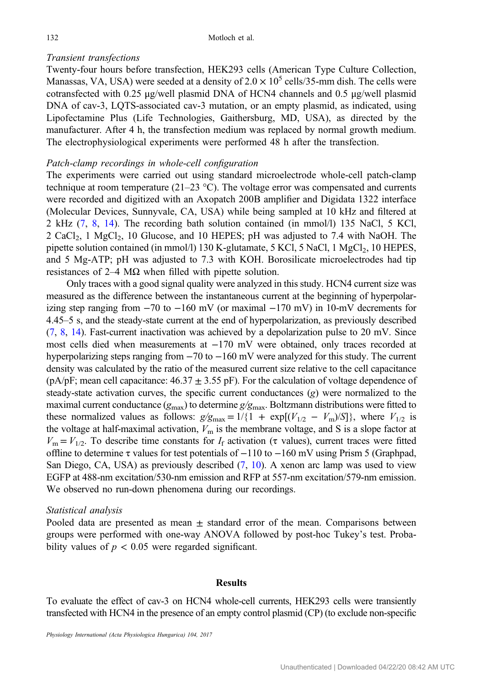# Transient transfections

Twenty-four hours before transfection, HEK293 cells (American Type Culture Collection, Manassas, VA, USA) were seeded at a density of  $2.0 \times 10^5$  cells/35-mm dish. The cells were cotransfected with 0.25 μg/well plasmid DNA of HCN4 channels and 0.5 μg/well plasmid DNA of cav-3, LQTS-associated cav-3 mutation, or an empty plasmid, as indicated, using Lipofectamine Plus (Life Technologies, Gaithersburg, MD, USA), as directed by the manufacturer. After 4 h, the transfection medium was replaced by normal growth medium. The electrophysiological experiments were performed 48 h after the transfection.

# Patch-clamp recordings in whole-cell configuration

The experiments were carried out using standard microelectrode whole-cell patch-clamp technique at room temperature  $(21-23 \degree C)$ . The voltage error was compensated and currents were recorded and digitized with an Axopatch 200B amplifier and Digidata 1322 interface (Molecular Devices, Sunnyvale, CA, USA) while being sampled at 10 kHz and filtered at 2 kHz [\(7](#page-7-0), [8](#page-7-0), [14](#page-7-0)). The recording bath solution contained (in mmol/l) 135 NaCl, 5 KCl,  $2 \text{ CaCl}_2$ , 1 MgCl<sub>2</sub>, 10 Glucose, and 10 HEPES; pH was adjusted to 7.4 with NaOH. The pipette solution contained (in mmol/l) 130 K-glutamate, 5 KCl, 5 NaCl, 1 MgCl<sub>2</sub>, 10 HEPES, and 5 Mg-ATP; pH was adjusted to 7.3 with KOH. Borosilicate microelectrodes had tip resistances of 2–4 MΩ when filled with pipette solution.

Only traces with a good signal quality were analyzed in this study. HCN4 current size was measured as the difference between the instantaneous current at the beginning of hyperpolarizing step ranging from −70 to −160 mV (or maximal −170 mV) in 10-mV decrements for 4.45–5 s, and the steady-state current at the end of hyperpolarization, as previously described  $(7, 8, 14)$  $(7, 8, 14)$  $(7, 8, 14)$  $(7, 8, 14)$  $(7, 8, 14)$  $(7, 8, 14)$ . Fast-current inactivation was achieved by a depolarization pulse to 20 mV. Since most cells died when measurements at −170 mV were obtained, only traces recorded at hyperpolarizing steps ranging from −70 to −160 mV were analyzed for this study. The current density was calculated by the ratio of the measured current size relative to the cell capacitance (pA/pF; mean cell capacitance:  $46.37 \pm 3.55$  pF). For the calculation of voltage dependence of steady-state activation curves, the specific current conductances  $(g)$  were normalized to the maximal current conductance ( $g_{\text{max}}$ ) to determine  $g/g_{\text{max}}$ . Boltzmann distributions were fitted to these normalized values as follows:  $g/g_{\text{max}} = 1/\{1 + \exp[(V_{1/2} - V_{\text{m}})/S]\}$ , where  $V_{1/2}$  is the voltage at half-maximal activation,  $V<sub>m</sub>$  is the membrane voltage, and S is a slope factor at  $V_{\text{m}} = V_{1/2}$ . To describe time constants for  $I_{\text{f}}$  activation (τ values), current traces were fitted offline to determine  $\tau$  values for test potentials of  $-110$  to  $-160$  mV using Prism 5 (Graphpad, San Diego, CA, USA) as previously described [\(7](#page-7-0), [10\)](#page-7-0). A xenon arc lamp was used to view EGFP at 488-nm excitation/530-nm emission and RFP at 557-nm excitation/579-nm emission. We observed no run-down phenomena during our recordings.

### Statistical analysis

Pooled data are presented as mean  $\pm$  standard error of the mean. Comparisons between groups were performed with one-way ANOVA followed by post-hoc Tukey's test. Probability values of  $p < 0.05$  were regarded significant.

#### Results

To evaluate the effect of cav-3 on HCN4 whole-cell currents, HEK293 cells were transiently transfected with HCN4 in the presence of an empty control plasmid (CP) (to exclude non-specific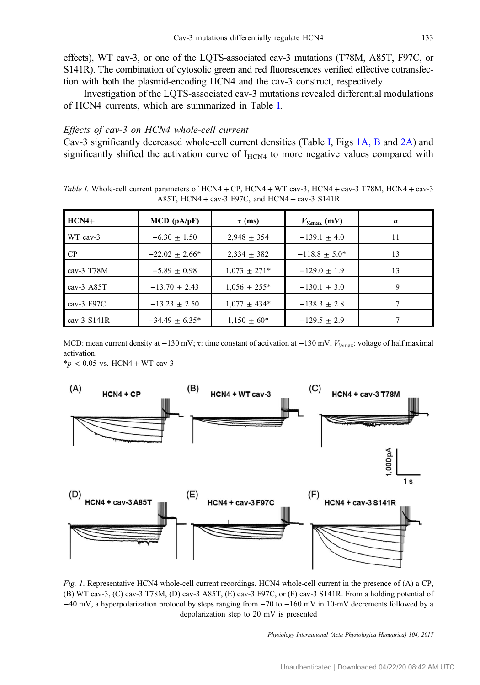<span id="page-3-0"></span>effects), WT cav-3, or one of the LQTS-associated cav-3 mutations (T78M, A85T, F97C, or S141R). The combination of cytosolic green and red fluorescences verified effective cotransfection with both the plasmid-encoding HCN4 and the cav-3 construct, respectively.

Investigation of the LQTS-associated cav-3 mutations revealed differential modulations of HCN4 currents, which are summarized in Table I.

# Effects of cav-3 on HCN4 whole-cell current

Cav-3 significantly decreased whole-cell current densities (Table I, Figs 1A, B and [2A\)](#page-4-0) and significantly shifted the activation curve of  $I_{HCN4}$  to more negative values compared with

Table I. Whole-cell current parameters of HCN4 + CP, HCN4 + WT cav-3, HCN4 + cav-3 T78M, HCN4 + cav-3 A85T, HCN4 + cav-3 F97C, and HCN4 + cav-3 S141R

| $HCN4+$       | $MCD$ ( $pA/pF$ )   | $\tau$ (ms)       | $V_{\gamma_{\rm max}}$ (mV) | n  |
|---------------|---------------------|-------------------|-----------------------------|----|
| WT cav-3      | $-6.30 + 1.50$      | $2.948 + 354$     | $-139.1 + 4.0$              | 11 |
| CP            | $-22.02 + 2.66*$    | $2,334 \pm 382$   | $-118.8 \pm 5.0^*$          | 13 |
| cav-3 $T78M$  | $-5.89 + 0.98$      | $1,073 \pm 271*$  | $-129.0 + 1.9$              | 13 |
| cav-3 $A85T$  | $-13.70 + 2.43$     | $1,056 \pm 255^*$ | $-130.1 \pm 3.0$            | 9  |
| cav-3 $F97C$  | $-13.23 + 2.50$     | $1,077 \pm 434*$  | $-138.3 \pm 2.8$            |    |
| cav-3 $S141R$ | $-34.49 \pm 6.35^*$ | $1,150 \pm 60^*$  | $-129.5 \pm 2.9$            |    |

MCD: mean current density at  $-130$  mV;  $\tau$ : time constant of activation at  $-130$  mV;  $V_{\text{Ymax}}$ : voltage of half maximal activation.

 $*_{p}$  < 0.05 vs. HCN4 + WT cav-3



Fig. 1. Representative HCN4 whole-cell current recordings. HCN4 whole-cell current in the presence of (A) a CP, (B) WT cav-3, (C) cav-3 T78M, (D) cav-3 A85T, (E) cav-3 F97C, or (F) cav-3 S141R. From a holding potential of −40 mV, a hyperpolarization protocol by steps ranging from −70 to −160 mV in 10-mV decrements followed by a depolarization step to 20 mV is presented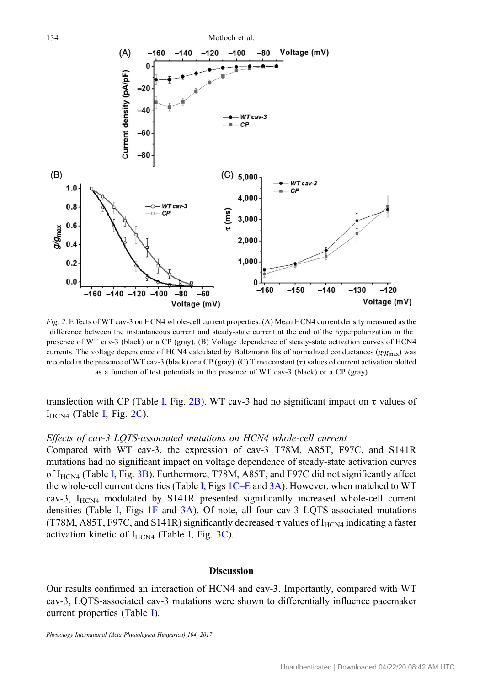<span id="page-4-0"></span>

Fig. 2. Effects of WT cav-3 on HCN4 whole-cell current properties. (A) Mean HCN4 current density measured as the difference between the instantaneous current and steady-state current at the end of the hyperpolarization in the presence of WT cav-3 (black) or a CP (gray). (B) Voltage dependence of steady-state activation curves of HCN4 currents. The voltage dependence of HCN4 calculated by Boltzmann fits of normalized conductances ( $g/g<sub>max</sub>$ ) was recorded in the presence of WT cav-3 (black) or a CP (gray). (C) Time constant (τ) values of current activation plotted as a function of test potentials in the presence of WT cav-3 (black) or a CP (gray)

transfection with CP (Table [I](#page-3-0), Fig. 2B). WT cav-3 had no significant impact on τ values of  $I_{HCN4}$  (Table [I,](#page-3-0) Fig. 2C).

#### Effects of cav-3 LQTS-associated mutations on HCN4 whole-cell current

Compared with WT cav-3, the expression of cav-3 T78M, A85T, F97C, and S141R mutations had no significant impact on voltage dependence of steady-state activation curves of [I](#page-3-0)<sub>HCN4</sub> (Table I, Fig. [3B\)](#page-5-0). Furthermore, T78M, A85T, and F97C did not significantly affect the whole-cell current densities (Table [I,](#page-3-0) Figs [1C](#page-3-0)–E and [3A](#page-5-0)). However, when matched to WT cav-3,  $I_{HCN4}$  modulated by S141R presented significantly increased whole-cell current densities (Table [I](#page-3-0), Figs [1F](#page-3-0) and [3A\)](#page-5-0). Of note, all four cav-3 LQTS-associated mutations (T78M, A85T, F97C, and S141R) significantly decreased  $\tau$  values of I<sub>HCN4</sub> indicating a faster activation kinetic of  $I_{HCN4}$  $I_{HCN4}$  (Table I, Fig. [3C](#page-5-0)).

#### **Discussion**

Our results confirmed an interaction of HCN4 and cav-3. Importantly, compared with WT cav-3, LQTS-associated cav-3 mutations were shown to differentially influence pacemaker current properties (Table [I\)](#page-3-0).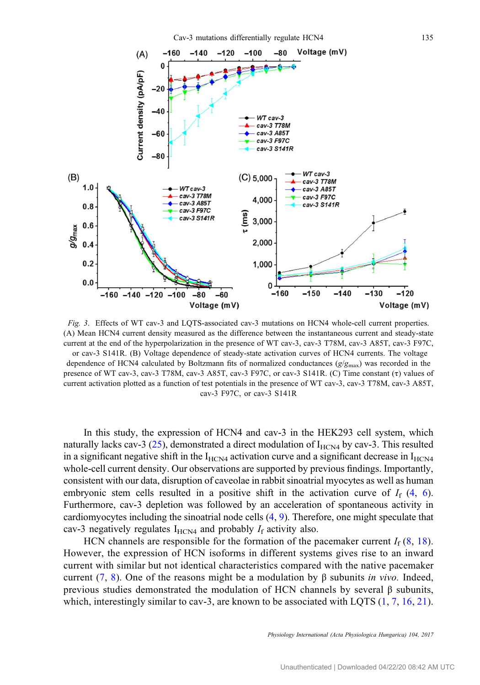<span id="page-5-0"></span>

Fig. 3. Effects of WT cav-3 and LQTS-associated cav-3 mutations on HCN4 whole-cell current properties. (A) Mean HCN4 current density measured as the difference between the instantaneous current and steady-state current at the end of the hyperpolarization in the presence of WT cav-3, cav-3 T78M, cav-3 A85T, cav-3 F97C, or cav-3 S141R. (B) Voltage dependence of steady-state activation curves of HCN4 currents. The voltage dependence of HCN4 calculated by Boltzmann fits of normalized conductances  $(g/g_{\text{max}})$  was recorded in the

presence of WT cav-3, cav-3 T78M, cav-3 A85T, cav-3 F97C, or cav-3 S141R. (C) Time constant (τ) values of current activation plotted as a function of test potentials in the presence of WT cav-3, cav-3 T78M, cav-3 A85T, cav-3 F97C, or cav-3 S141R

In this study, the expression of HCN4 and cav-3 in the HEK293 cell system, which naturally lacks cav-3 ([25\)](#page-8-0), demonstrated a direct modulation of  $I_{HCN4}$  by cav-3. This resulted in a significant negative shift in the  $I_{HCM4}$  activation curve and a significant decrease in  $I_{HCM4}$ whole-cell current density. Our observations are supported by previous findings. Importantly, consistent with our data, disruption of caveolae in rabbit sinoatrial myocytes as well as human embryonic stem cells resulted in a positive shift in the activation curve of  $I_f$  [\(4](#page-7-0), [6](#page-7-0)). Furthermore, cav-3 depletion was followed by an acceleration of spontaneous activity in cardiomyocytes including the sinoatrial node cells ([4](#page-7-0), [9\)](#page-7-0). Therefore, one might speculate that cav-3 negatively regulates  $I_{HCN4}$  and probably  $I_f$  activity also.

HCN channels are responsible for the formation of the pacemaker current  $I_f$  ([8](#page-7-0), [18](#page-7-0)). However, the expression of HCN isoforms in different systems gives rise to an inward current with similar but not identical characteristics compared with the native pacemaker current ([7,](#page-7-0) [8](#page-7-0)). One of the reasons might be a modulation by β subunits *in vivo*. Indeed, previous studies demonstrated the modulation of HCN channels by several β subunits, which, interestingly similar to cav-3, are known to be associated with LQTS  $(1, 7, 16, 21)$  $(1, 7, 16, 21)$  $(1, 7, 16, 21)$  $(1, 7, 16, 21)$  $(1, 7, 16, 21)$  $(1, 7, 16, 21)$  $(1, 7, 16, 21)$  $(1, 7, 16, 21)$ .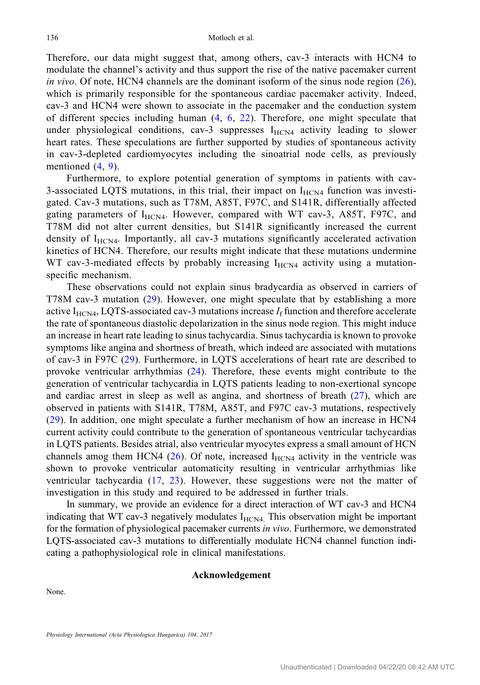Therefore, our data might suggest that, among others, cav-3 interacts with HCN4 to modulate the channel's activity and thus support the rise of the native pacemaker current in vivo. Of note, HCN4 channels are the dominant isoform of the sinus node region  $(26)$  $(26)$  $(26)$ , which is primarily responsible for the spontaneous cardiac pacemaker activity. Indeed, cav-3 and HCN4 were shown to associate in the pacemaker and the conduction system of different species including human ([4](#page-7-0), [6,](#page-7-0) [22](#page-7-0)). Therefore, one might speculate that under physiological conditions, cav-3 suppresses  $I_{HCN4}$  activity leading to slower heart rates. These speculations are further supported by studies of spontaneous activity in cav-3-depleted cardiomyocytes including the sinoatrial node cells, as previously mentioned ([4](#page-7-0), [9\)](#page-7-0).

Furthermore, to explore potential generation of symptoms in patients with cav-3-associated LQTS mutations, in this trial, their impact on  $I_{HCN4}$  function was investigated. Cav-3 mutations, such as T78M, A85T, F97C, and S141R, differentially affected gating parameters of  $I_{HCN4}$ . However, compared with WT cav-3, A85T, F97C, and T78M did not alter current densities, but S141R significantly increased the current density of  $I_{HCN4}$ . Importantly, all cav-3 mutations significantly accelerated activation kinetics of HCN4. Therefore, our results might indicate that these mutations undermine WT cav-3-mediated effects by probably increasing  $I_{HCN4}$  activity using a mutationspecific mechanism.

These observations could not explain sinus bradycardia as observed in carriers of T78M cav-3 mutation [\(29\)](#page-8-0). However, one might speculate that by establishing a more active  $I_{HCN4}$ , LQTS-associated cav-3 mutations increase  $I_f$  function and therefore accelerate the rate of spontaneous diastolic depolarization in the sinus node region. This might induce an increase in heart rate leading to sinus tachycardia. Sinus tachycardia is known to provoke symptoms like angina and shortness of breath, which indeed are associated with mutations of cav-3 in F97C [\(29\)](#page-8-0). Furthermore, in LQTS accelerations of heart rate are described to provoke ventricular arrhythmias [\(24](#page-8-0)). Therefore, these events might contribute to the generation of ventricular tachycardia in LQTS patients leading to non-exertional syncope and cardiac arrest in sleep as well as angina, and shortness of breath [\(27](#page-8-0)), which are observed in patients with S141R, T78M, A85T, and F97C cav-3 mutations, respectively [\(29\)](#page-8-0). In addition, one might speculate a further mechanism of how an increase in HCN4 current activity could contribute to the generation of spontaneous ventricular tachycardias in LQTS patients. Besides atrial, also ventricular myocytes express a small amount of HCN channels amog them HCN4 ([26](#page-8-0)). Of note, increased  $I_{HCN4}$  activity in the ventricle was shown to provoke ventricular automaticity resulting in ventricular arrhythmias like ventricular tachycardia [\(17](#page-7-0), [23](#page-8-0)). However, these suggestions were not the matter of investigation in this study and required to be addressed in further trials.

In summary, we provide an evidence for a direct interaction of WT cav-3 and HCN4 indicating that WT cav-3 negatively modulates  $I_{HCN4}$ . This observation might be important for the formation of physiological pacemaker currents in vivo. Furthermore, we demonstrated LQTS-associated cav-3 mutations to differentially modulate HCN4 channel function indicating a pathophysiological role in clinical manifestations.

#### Acknowledgement

None.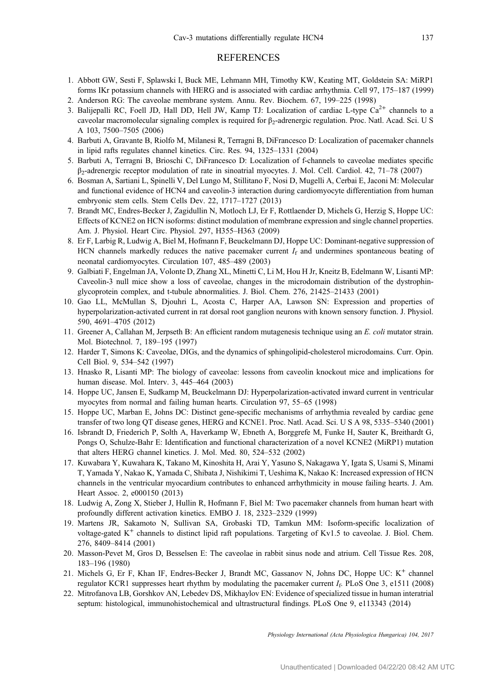#### **REFERENCES**

- <span id="page-7-0"></span>1. Abbott GW, Sesti F, Splawski I, Buck ME, Lehmann MH, Timothy KW, Keating MT, Goldstein SA: MiRP1 forms IKr potassium channels with HERG and is associated with cardiac arrhythmia. Cell 97, 175–187 (1999)
- 2. Anderson RG: The caveolae membrane system. Annu. Rev. Biochem. 67, 199–225 (1998)
- 3. Balijepalli RC, Foell JD, Hall DD, Hell JW, Kamp TJ: Localization of cardiac L-type  $Ca<sup>2+</sup>$  channels to a caveolar macromolecular signaling complex is required for β2-adrenergic regulation. Proc. Natl. Acad. Sci. U S A 103, 7500–7505 (2006)
- 4. Barbuti A, Gravante B, Riolfo M, Milanesi R, Terragni B, DiFrancesco D: Localization of pacemaker channels in lipid rafts regulates channel kinetics. Circ. Res. 94, 1325–1331 (2004)
- 5. Barbuti A, Terragni B, Brioschi C, DiFrancesco D: Localization of f-channels to caveolae mediates specific β2-adrenergic receptor modulation of rate in sinoatrial myocytes. J. Mol. Cell. Cardiol. 42, 71–78 (2007)
- 6. Bosman A, Sartiani L, Spinelli V, Del Lungo M, Stillitano F, Nosi D, Mugelli A, Cerbai E, Jaconi M: Molecular and functional evidence of HCN4 and caveolin-3 interaction during cardiomyocyte differentiation from human embryonic stem cells. Stem Cells Dev. 22, 1717–1727 (2013)
- 7. Brandt MC, Endres-Becker J, Zagidullin N, Motloch LJ, Er F, Rottlaender D, Michels G, Herzig S, Hoppe UC: Effects of KCNE2 on HCN isoforms: distinct modulation of membrane expression and single channel properties. Am. J. Physiol. Heart Circ. Physiol. 297, H355–H363 (2009)
- 8. Er F, Larbig R, Ludwig A, Biel M, Hofmann F, Beuckelmann DJ, Hoppe UC: Dominant-negative suppression of HCN channels markedly reduces the native pacemaker current  $I_f$  and undermines spontaneous beating of neonatal cardiomyocytes. Circulation 107, 485–489 (2003)
- 9. Galbiati F, Engelman JA, Volonte D, Zhang XL, Minetti C, Li M, Hou H Jr, Kneitz B, Edelmann W, Lisanti MP: Caveolin-3 null mice show a loss of caveolae, changes in the microdomain distribution of the dystrophinglycoprotein complex, and t-tubule abnormalities. J. Biol. Chem. 276, 21425–21433 (2001)
- 10. Gao LL, McMullan S, Djouhri L, Acosta C, Harper AA, Lawson SN: Expression and properties of hyperpolarization-activated current in rat dorsal root ganglion neurons with known sensory function. J. Physiol. 590, 4691–4705 (2012)
- 11. Greener A, Callahan M, Jerpseth B: An efficient random mutagenesis technique using an E. coli mutator strain. Mol. Biotechnol. 7, 189–195 (1997)
- 12. Harder T, Simons K: Caveolae, DIGs, and the dynamics of sphingolipid-cholesterol microdomains. Curr. Opin. Cell Biol. 9, 534–542 (1997)
- 13. Hnasko R, Lisanti MP: The biology of caveolae: lessons from caveolin knockout mice and implications for human disease. Mol. Interv. 3, 445–464 (2003)
- 14. Hoppe UC, Jansen E, Sudkamp M, Beuckelmann DJ: Hyperpolarization-activated inward current in ventricular myocytes from normal and failing human hearts. Circulation 97, 55–65 (1998)
- 15. Hoppe UC, Marban E, Johns DC: Distinct gene-specific mechanisms of arrhythmia revealed by cardiac gene transfer of two long QT disease genes, HERG and KCNE1. Proc. Natl. Acad. Sci. U S A 98, 5335–5340 (2001)
- 16. Isbrandt D, Friederich P, Solth A, Haverkamp W, Ebneth A, Borggrefe M, Funke H, Sauter K, Breithardt G, Pongs O, Schulze-Bahr E: Identification and functional characterization of a novel KCNE2 (MiRP1) mutation that alters HERG channel kinetics. J. Mol. Med. 80, 524–532 (2002)
- 17. Kuwabara Y, Kuwahara K, Takano M, Kinoshita H, Arai Y, Yasuno S, Nakagawa Y, Igata S, Usami S, Minami T, Yamada Y, Nakao K, Yamada C, Shibata J, Nishikimi T, Ueshima K, Nakao K: Increased expression of HCN channels in the ventricular myocardium contributes to enhanced arrhythmicity in mouse failing hearts. J. Am. Heart Assoc. 2, e000150 (2013)
- 18. Ludwig A, Zong X, Stieber J, Hullin R, Hofmann F, Biel M: Two pacemaker channels from human heart with profoundly different activation kinetics. EMBO J. 18, 2323–2329 (1999)
- 19. Martens JR, Sakamoto N, Sullivan SA, Grobaski TD, Tamkun MM: Isoform-specific localization of voltage-gated K<sup>+</sup> channels to distinct lipid raft populations. Targeting of Kv1.5 to caveolae. J. Biol. Chem. 276, 8409–8414 (2001)
- 20. Masson-Pevet M, Gros D, Besselsen E: The caveolae in rabbit sinus node and atrium. Cell Tissue Res. 208, 183–196 (1980)
- 21. Michels G, Er F, Khan IF, Endres-Becker J, Brandt MC, Gassanov N, Johns DC, Hoppe UC: K<sup>+</sup> channel regulator KCR1 suppresses heart rhythm by modulating the pacemaker current  $I_f$ . PLoS One 3, e1511 (2008)
- 22. Mitrofanova LB, Gorshkov AN, Lebedev DS, Mikhaylov EN: Evidence of specialized tissue in human interatrial septum: histological, immunohistochemical and ultrastructural findings. PLoS One 9, e113343 (2014)